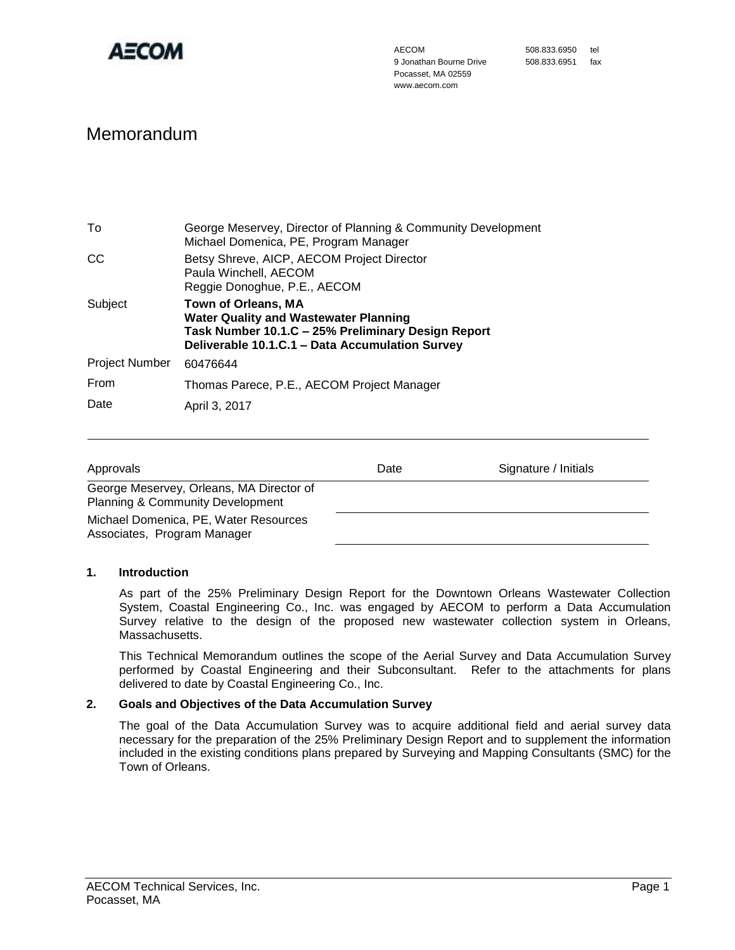

# Memorandum

| To                    | George Meservey, Director of Planning & Community Development<br>Michael Domenica, PE, Program Manager                                                                       |  |
|-----------------------|------------------------------------------------------------------------------------------------------------------------------------------------------------------------------|--|
| CC                    | Betsy Shreve, AICP, AECOM Project Director<br>Paula Winchell, AECOM<br>Reggie Donoghue, P.E., AECOM                                                                          |  |
| Subject               | Town of Orleans, MA<br><b>Water Quality and Wastewater Planning</b><br>Task Number 10.1.C - 25% Preliminary Design Report<br>Deliverable 10.1.C.1 - Data Accumulation Survey |  |
| <b>Project Number</b> | 60476644                                                                                                                                                                     |  |
| From                  | Thomas Parece, P.E., AECOM Project Manager                                                                                                                                   |  |
| Date                  | April 3, 2017                                                                                                                                                                |  |

| Approvals                                                                               | Date | Signature / Initials |
|-----------------------------------------------------------------------------------------|------|----------------------|
| George Meservey, Orleans, MA Director of<br><b>Planning &amp; Community Development</b> |      |                      |
| Michael Domenica, PE, Water Resources<br>Associates, Program Manager                    |      |                      |

## **1. Introduction**

As part of the 25% Preliminary Design Report for the Downtown Orleans Wastewater Collection System, Coastal Engineering Co., Inc. was engaged by AECOM to perform a Data Accumulation Survey relative to the design of the proposed new wastewater collection system in Orleans, Massachusetts.

This Technical Memorandum outlines the scope of the Aerial Survey and Data Accumulation Survey performed by Coastal Engineering and their Subconsultant. Refer to the attachments for plans delivered to date by Coastal Engineering Co., Inc.

## **2. Goals and Objectives of the Data Accumulation Survey**

The goal of the Data Accumulation Survey was to acquire additional field and aerial survey data necessary for the preparation of the 25% Preliminary Design Report and to supplement the information included in the existing conditions plans prepared by Surveying and Mapping Consultants (SMC) for the Town of Orleans.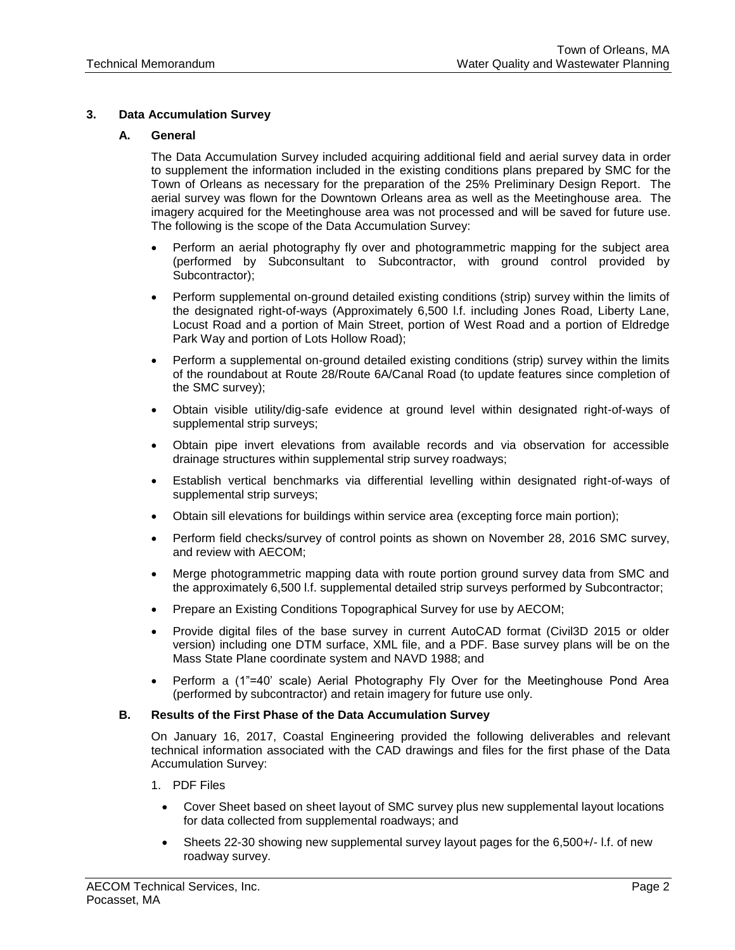## **3. Data Accumulation Survey**

## **A. General**

The Data Accumulation Survey included acquiring additional field and aerial survey data in order to supplement the information included in the existing conditions plans prepared by SMC for the Town of Orleans as necessary for the preparation of the 25% Preliminary Design Report. The aerial survey was flown for the Downtown Orleans area as well as the Meetinghouse area. The imagery acquired for the Meetinghouse area was not processed and will be saved for future use. The following is the scope of the Data Accumulation Survey:

- Perform an aerial photography fly over and photogrammetric mapping for the subject area (performed by Subconsultant to Subcontractor, with ground control provided by Subcontractor);
- Perform supplemental on-ground detailed existing conditions (strip) survey within the limits of the designated right-of-ways (Approximately 6,500 l.f. including Jones Road, Liberty Lane, Locust Road and a portion of Main Street, portion of West Road and a portion of Eldredge Park Way and portion of Lots Hollow Road);
- Perform a supplemental on-ground detailed existing conditions (strip) survey within the limits of the roundabout at Route 28/Route 6A/Canal Road (to update features since completion of the SMC survey);
- Obtain visible utility/dig-safe evidence at ground level within designated right-of-ways of supplemental strip surveys;
- Obtain pipe invert elevations from available records and via observation for accessible drainage structures within supplemental strip survey roadways;
- Establish vertical benchmarks via differential levelling within designated right-of-ways of supplemental strip surveys;
- Obtain sill elevations for buildings within service area (excepting force main portion);
- Perform field checks/survey of control points as shown on November 28, 2016 SMC survey, and review with AECOM;
- Merge photogrammetric mapping data with route portion ground survey data from SMC and the approximately 6,500 l.f. supplemental detailed strip surveys performed by Subcontractor;
- Prepare an Existing Conditions Topographical Survey for use by AECOM;
- Provide digital files of the base survey in current AutoCAD format (Civil3D 2015 or older version) including one DTM surface, XML file, and a PDF. Base survey plans will be on the Mass State Plane coordinate system and NAVD 1988; and
- Perform a (1"=40' scale) Aerial Photography Fly Over for the Meetinghouse Pond Area (performed by subcontractor) and retain imagery for future use only.

## **B. Results of the First Phase of the Data Accumulation Survey**

On January 16, 2017, Coastal Engineering provided the following deliverables and relevant technical information associated with the CAD drawings and files for the first phase of the Data Accumulation Survey:

- 1. PDF Files
	- Cover Sheet based on sheet layout of SMC survey plus new supplemental layout locations for data collected from supplemental roadways; and
	- Sheets 22-30 showing new supplemental survey layout pages for the 6,500+/- l.f. of new roadway survey.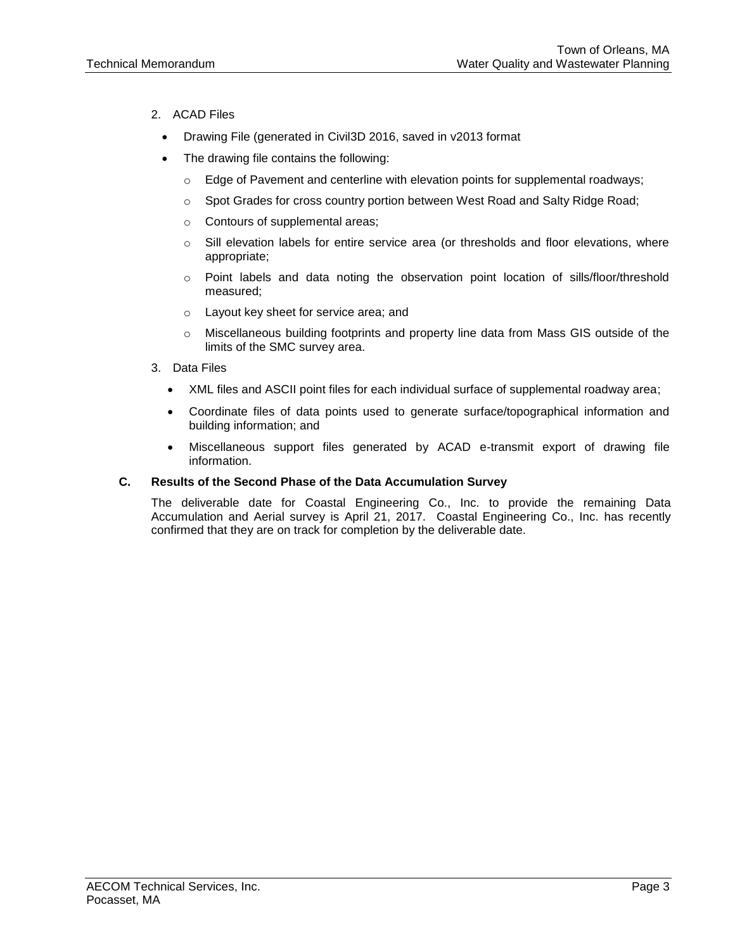- 2. ACAD Files
	- Drawing File (generated in Civil3D 2016, saved in v2013 format
	- The drawing file contains the following:
		- $\circ$  Edge of Pavement and centerline with elevation points for supplemental roadways;
		- o Spot Grades for cross country portion between West Road and Salty Ridge Road;
		- o Contours of supplemental areas;
		- o Sill elevation labels for entire service area (or thresholds and floor elevations, where appropriate;
		- o Point labels and data noting the observation point location of sills/floor/threshold measured;
		- o Layout key sheet for service area; and
		- $\circ$  Miscellaneous building footprints and property line data from Mass GIS outside of the limits of the SMC survey area.
- 3. Data Files
	- XML files and ASCII point files for each individual surface of supplemental roadway area;
	- Coordinate files of data points used to generate surface/topographical information and building information; and
	- Miscellaneous support files generated by ACAD e-transmit export of drawing file information.

## **C. Results of the Second Phase of the Data Accumulation Survey**

The deliverable date for Coastal Engineering Co., Inc. to provide the remaining Data Accumulation and Aerial survey is April 21, 2017. Coastal Engineering Co., Inc. has recently confirmed that they are on track for completion by the deliverable date.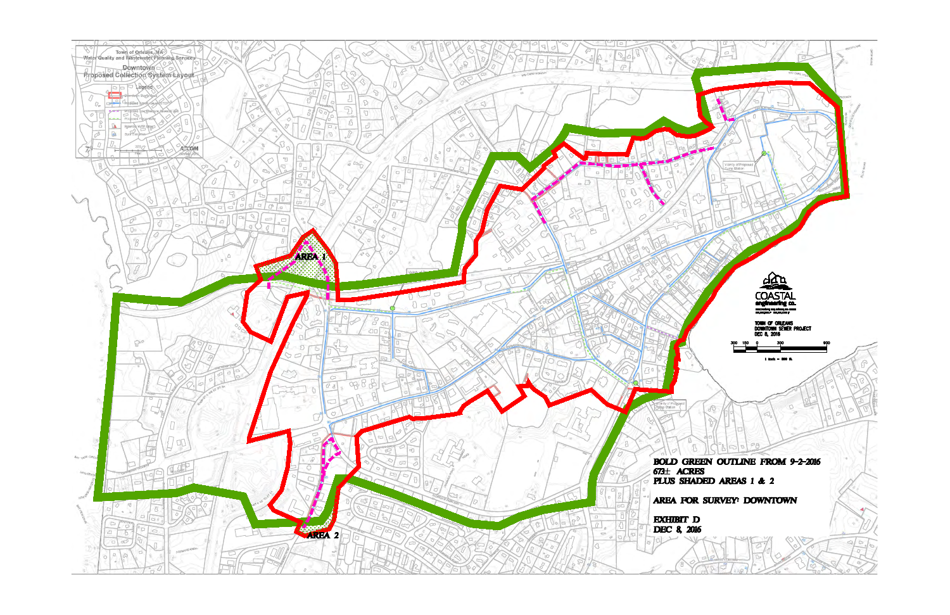